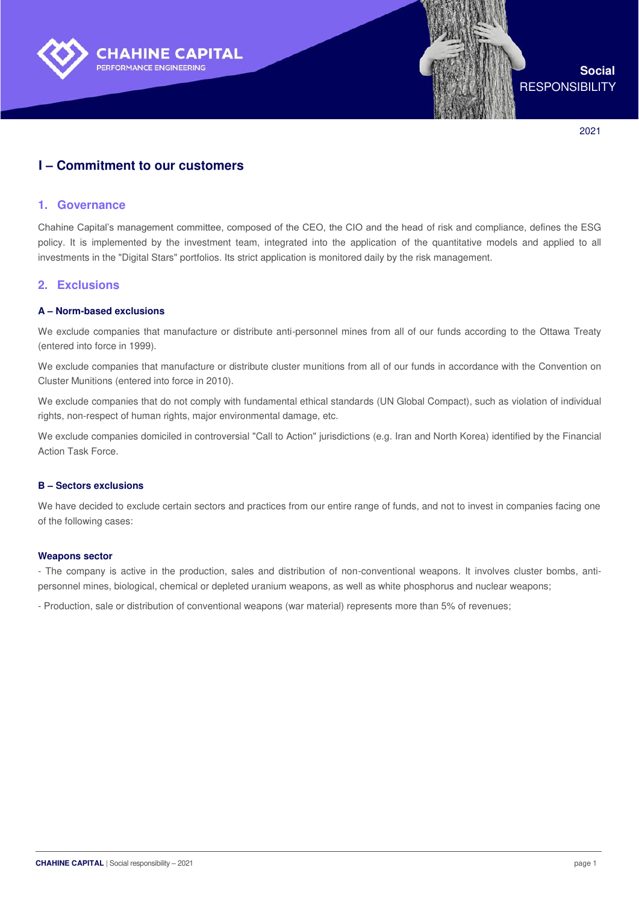

**Social RESPONSIBILITY** 

2021

# **I – Commitment to our customers**

### **1. Governance**

Chahine Capital's management committee, composed of the CEO, the CIO and the head of risk and compliance, defines the ESG policy. It is implemented by the investment team, integrated into the application of the quantitative models and applied to all investments in the "Digital Stars" portfolios. Its strict application is monitored daily by the risk management.

### **2. Exclusions**

#### **A – Norm-based exclusions**

We exclude companies that manufacture or distribute anti-personnel mines from all of our funds according to the Ottawa Treaty (entered into force in 1999).

We exclude companies that manufacture or distribute cluster munitions from all of our funds in accordance with the Convention on Cluster Munitions (entered into force in 2010).

We exclude companies that do not comply with fundamental ethical standards (UN Global Compact), such as violation of individual rights, non-respect of human rights, major environmental damage, etc.

We exclude companies domiciled in controversial "Call to Action" jurisdictions (e.g. Iran and North Korea) identified by the Financial Action Task Force.

#### **B – Sectors exclusions**

We have decided to exclude certain sectors and practices from our entire range of funds, and not to invest in companies facing one of the following cases:

#### **Weapons sector**

- The company is active in the production, sales and distribution of non-conventional weapons. It involves cluster bombs, antipersonnel mines, biological, chemical or depleted uranium weapons, as well as white phosphorus and nuclear weapons;

- Production, sale or distribution of conventional weapons (war material) represents more than 5% of revenues;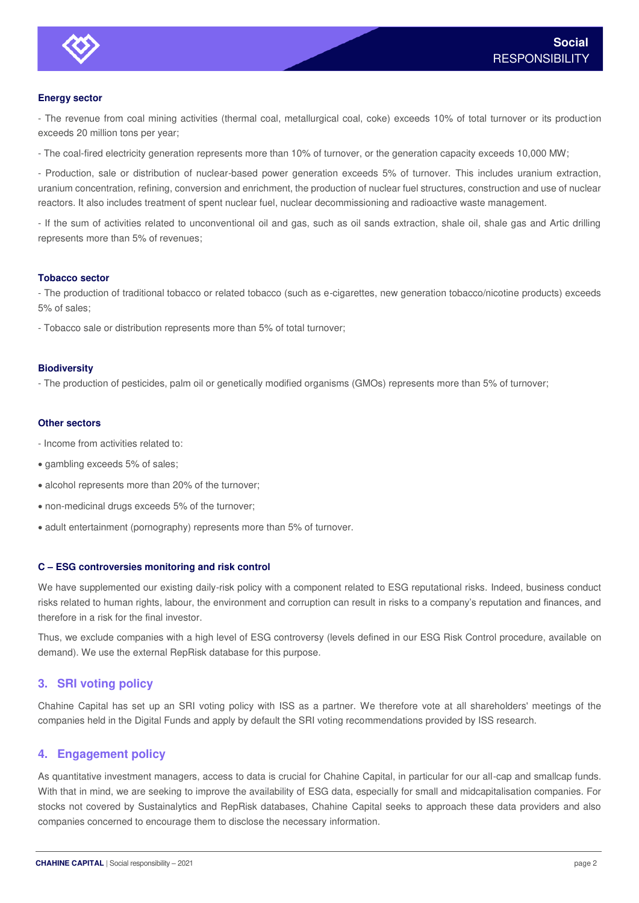

### **Energy sector**

- The revenue from coal mining activities (thermal coal, metallurgical coal, coke) exceeds 10% of total turnover or its production exceeds 20 million tons per year;

- The coal-fired electricity generation represents more than 10% of turnover, or the generation capacity exceeds 10,000 MW;

- Production, sale or distribution of nuclear-based power generation exceeds 5% of turnover. This includes uranium extraction, uranium concentration, refining, conversion and enrichment, the production of nuclear fuel structures, construction and use of nuclear reactors. It also includes treatment of spent nuclear fuel, nuclear decommissioning and radioactive waste management.

- If the sum of activities related to unconventional oil and gas, such as oil sands extraction, shale oil, shale gas and Artic drilling represents more than 5% of revenues;

#### **Tobacco sector**

- The production of traditional tobacco or related tobacco (such as e-cigarettes, new generation tobacco/nicotine products) exceeds 5% of sales;

- Tobacco sale or distribution represents more than 5% of total turnover;

#### **Biodiversity**

- The production of pesticides, palm oil or genetically modified organisms (GMOs) represents more than 5% of turnover;

#### **Other sectors**

- Income from activities related to:
- gambling exceeds 5% of sales;
- alcohol represents more than 20% of the turnover;
- non-medicinal drugs exceeds 5% of the turnover;
- adult entertainment (pornography) represents more than 5% of turnover.

### **C – ESG controversies monitoring and risk control**

We have supplemented our existing daily-risk policy with a component related to ESG reputational risks. Indeed, business conduct risks related to human rights, labour, the environment and corruption can result in risks to a company's reputation and finances, and therefore in a risk for the final investor.

Thus, we exclude companies with a high level of ESG controversy (levels defined in our ESG Risk Control procedure, available on demand). We use the external RepRisk database for this purpose.

### **3. SRI voting policy**

Chahine Capital has set up an SRI voting policy with ISS as a partner. We therefore vote at all shareholders' meetings of the companies held in the Digital Funds and apply by default the SRI voting recommendations provided by ISS research.

### **4. Engagement policy**

As quantitative investment managers, access to data is crucial for Chahine Capital, in particular for our all-cap and smallcap funds. With that in mind, we are seeking to improve the availability of ESG data, especially for small and midcapitalisation companies. For stocks not covered by Sustainalytics and RepRisk databases, Chahine Capital seeks to approach these data providers and also companies concerned to encourage them to disclose the necessary information.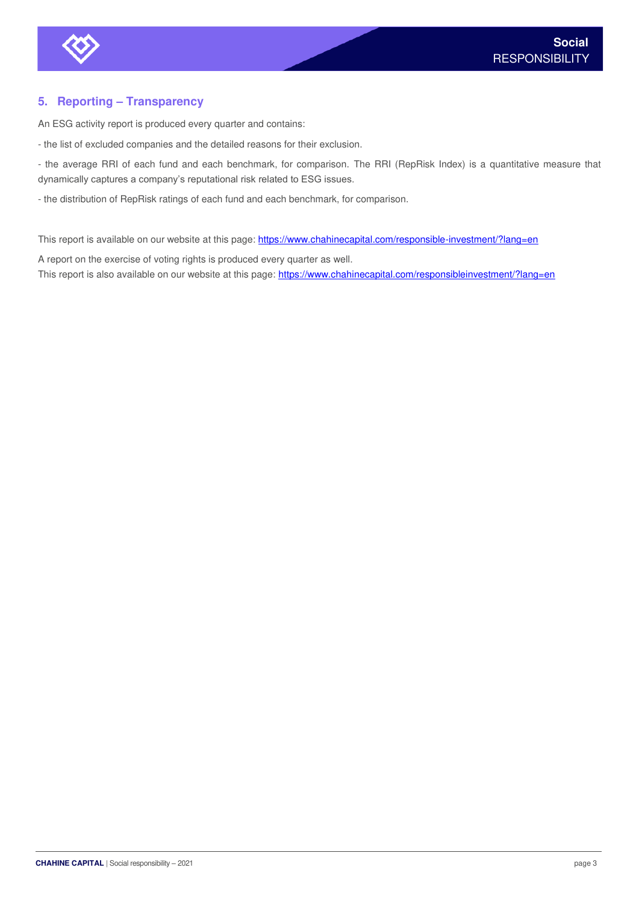

## **5. Reporting – Transparency**

An ESG activity report is produced every quarter and contains:

- the list of excluded companies and the detailed reasons for their exclusion.

- the average RRI of each fund and each benchmark, for comparison. The RRI (RepRisk Index) is a quantitative measure that dynamically captures a company's reputational risk related to ESG issues.

- the distribution of RepRisk ratings of each fund and each benchmark, for comparison.

This report is available on our website at this page: https://www.chahinecapital.com/responsible-investment/?lang=en

A report on the exercise of voting rights is produced every quarter as well. This report is also available on our website at this page:<https://www.chahinecapital.com/responsibleinvestment/?lang=en>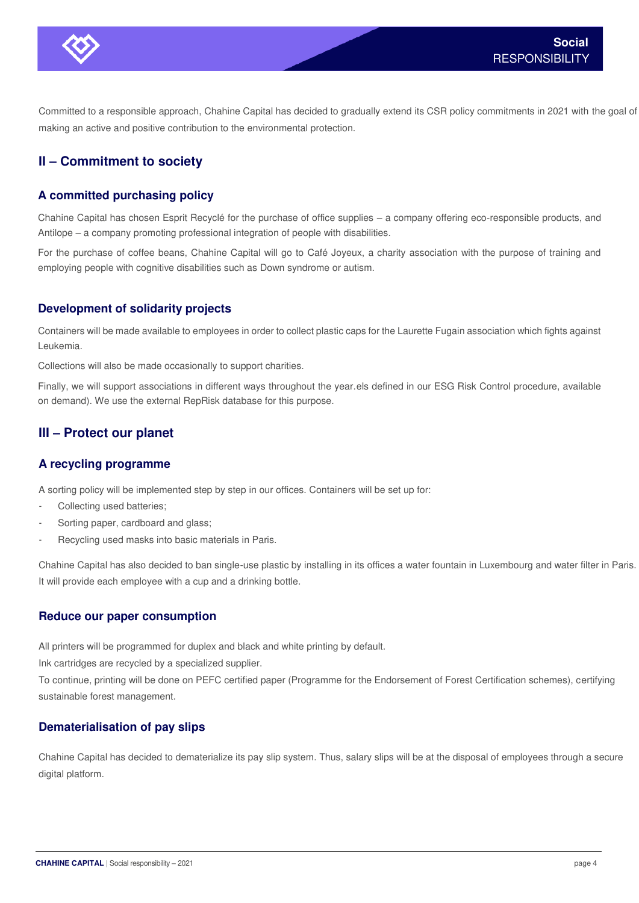

Committed to a responsible approach, Chahine Capital has decided to gradually extend its CSR policy commitments in 2021 with the goal of making an active and positive contribution to the environmental protection.

# **II – Commitment to society**

# **A committed purchasing policy**

Chahine Capital has chosen Esprit Recyclé for the purchase of office supplies – a company offering eco-responsible products, and Antilope – a company promoting professional integration of people with disabilities.

For the purchase of coffee beans, Chahine Capital will go to Café Joyeux, a charity association with the purpose of training and employing people with cognitive disabilities such as Down syndrome or autism.

### **Development of solidarity projects**

Containers will be made available to employees in order to collect plastic caps for the Laurette Fugain association which fights against Leukemia.

Collections will also be made occasionally to support charities.

Finally, we will support associations in different ways throughout the year.els defined in our ESG Risk Control procedure, available on demand). We use the external RepRisk database for this purpose.

# **III – Protect our planet**

## **A recycling programme**

A sorting policy will be implemented step by step in our offices. Containers will be set up for:

- Collecting used batteries;
- Sorting paper, cardboard and glass;
- Recycling used masks into basic materials in Paris.

Chahine Capital has also decided to ban single-use plastic by installing in its offices a water fountain in Luxembourg and water filter in Paris. It will provide each employee with a cup and a drinking bottle.

### **Reduce our paper consumption**

All printers will be programmed for duplex and black and white printing by default.

Ink cartridges are recycled by a specialized supplier.

To continue, printing will be done on PEFC certified paper (Programme for the Endorsement of Forest Certification schemes), certifying sustainable forest management.

## **Dematerialisation of pay slips**

Chahine Capital has decided to dematerialize its pay slip system. Thus, salary slips will be at the disposal of employees through a secure digital platform.